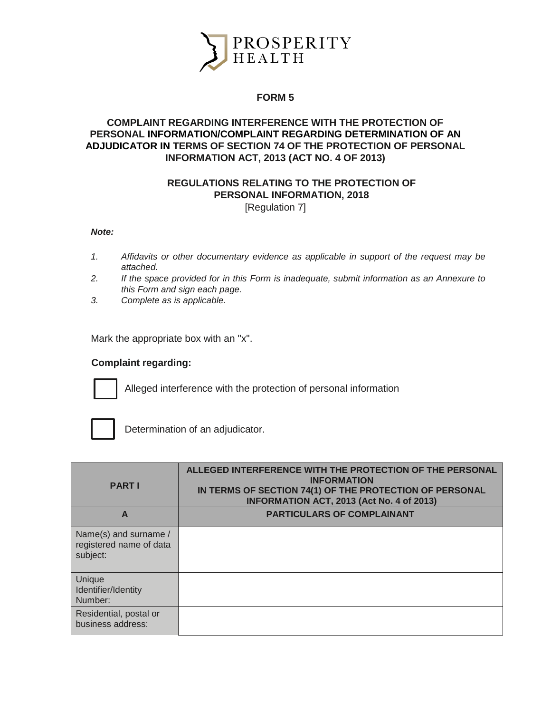

## **FORM 5**

## **COMPLAINT REGARDING INTERFERENCE WITH THE PROTECTION OF PERSONAL INFORMATION/COMPLAINT REGARDING DETERMINATION OF AN ADJUDICATOR IN TERMS OF SECTION 74 OF THE PROTECTION OF PERSONAL INFORMATION ACT, 2013 (ACT NO. 4 OF 2013)**

# **REGULATIONS RELATING TO THE PROTECTION OF PERSONAL INFORMATION, 2018**

[Regulation 7]

#### *Note:*

- *1. Affidavits or other documentary evidence as applicable in support of the request may be attached.*
- *2. If the space provided for in this Form is inadequate, submit information as an Annexure to this Form and sign each page.*
- *3. Complete as is applicable.*

Mark the appropriate box with an "x".

### **Complaint regarding:**



Alleged interference with the protection of personal information



Determination of an adjudicator.

| <b>PART I</b>                                                | ALLEGED INTERFERENCE WITH THE PROTECTION OF THE PERSONAL<br><b>INFORMATION</b><br>IN TERMS OF SECTION 74(1) OF THE PROTECTION OF PERSONAL<br><b>INFORMATION ACT, 2013 (Act No. 4 of 2013)</b> |
|--------------------------------------------------------------|-----------------------------------------------------------------------------------------------------------------------------------------------------------------------------------------------|
| A                                                            | <b>PARTICULARS OF COMPLAINANT</b>                                                                                                                                                             |
| Name(s) and surname /<br>registered name of data<br>subject: |                                                                                                                                                                                               |
| Unique<br>Identifier/Identity<br>Number:                     |                                                                                                                                                                                               |
| Residential, postal or<br>business address:                  |                                                                                                                                                                                               |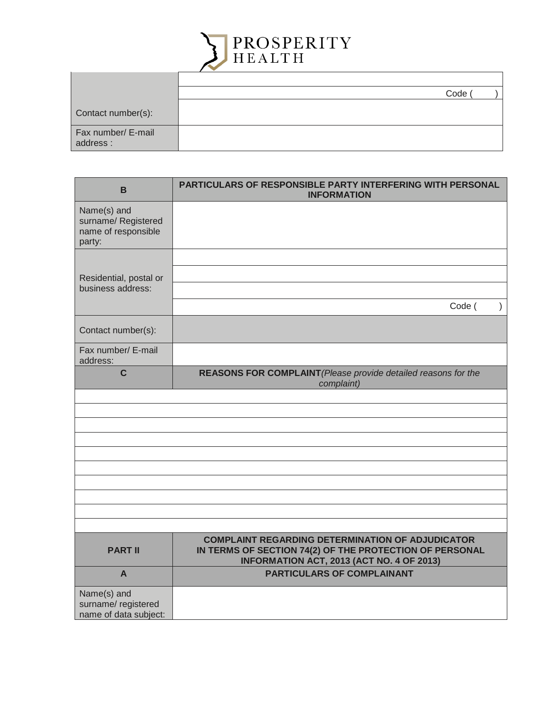

|                                | Code ( |
|--------------------------------|--------|
| Contact number(s):             |        |
| Fax number/ E-mail<br>address: |        |

| B                                                                   | PARTICULARS OF RESPONSIBLE PARTY INTERFERING WITH PERSONAL<br><b>INFORMATION</b>                     |
|---------------------------------------------------------------------|------------------------------------------------------------------------------------------------------|
| Name(s) and<br>surname/ Registered<br>name of responsible<br>party: |                                                                                                      |
| Residential, postal or<br>business address:                         | Code (<br>$\mathcal{E}$                                                                              |
| Contact number(s):                                                  |                                                                                                      |
| Fax number/ E-mail<br>address:                                      |                                                                                                      |
| $\mathbf c$                                                         | REASONS FOR COMPLAINT (Please provide detailed reasons for the<br>complaint)                         |
|                                                                     |                                                                                                      |
|                                                                     |                                                                                                      |
|                                                                     |                                                                                                      |
|                                                                     |                                                                                                      |
|                                                                     |                                                                                                      |
|                                                                     |                                                                                                      |
|                                                                     |                                                                                                      |
|                                                                     |                                                                                                      |
|                                                                     |                                                                                                      |
|                                                                     | <b>COMPLAINT REGARDING DETERMINATION OF ADJUDICATOR</b>                                              |
| <b>PART II</b>                                                      | IN TERMS OF SECTION 74(2) OF THE PROTECTION OF PERSONAL<br>INFORMATION ACT, 2013 (ACT NO. 4 OF 2013) |
| A                                                                   | <b>PARTICULARS OF COMPLAINANT</b>                                                                    |
| Name(s) and<br>surname/ registered<br>name of data subject:         |                                                                                                      |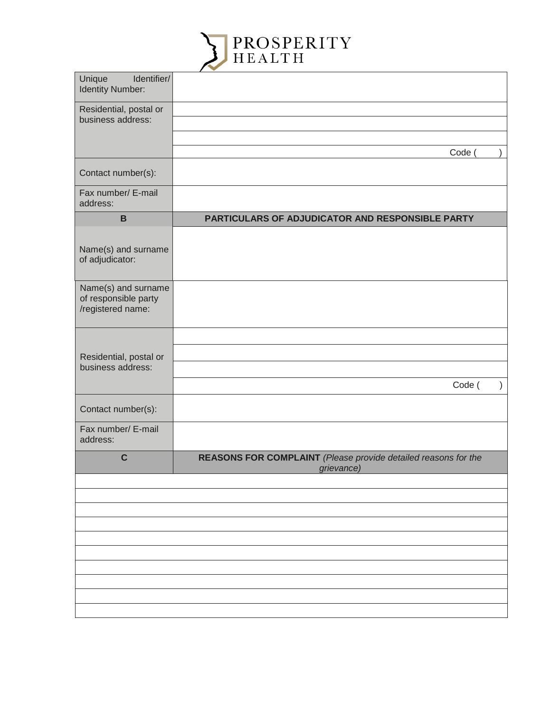

| Identifier/<br>Unique<br><b>Identity Number:</b>                 |                                                                              |
|------------------------------------------------------------------|------------------------------------------------------------------------------|
| Residential, postal or<br>business address:                      |                                                                              |
|                                                                  | Code (                                                                       |
| Contact number(s):                                               |                                                                              |
| Fax number/ E-mail<br>address:                                   |                                                                              |
| $\mathbf B$                                                      | PARTICULARS OF ADJUDICATOR AND RESPONSIBLE PARTY                             |
| Name(s) and surname<br>of adjudicator:                           |                                                                              |
| Name(s) and surname<br>of responsible party<br>/registered name: |                                                                              |
|                                                                  |                                                                              |
| Residential, postal or<br>business address:                      |                                                                              |
|                                                                  | Code (                                                                       |
| Contact number(s):                                               |                                                                              |
| Fax number/ E-mail<br>address:                                   |                                                                              |
| $\mathbf C$                                                      | REASONS FOR COMPLAINT (Please provide detailed reasons for the<br>grievance) |
|                                                                  |                                                                              |
|                                                                  |                                                                              |
|                                                                  |                                                                              |
|                                                                  |                                                                              |
|                                                                  |                                                                              |
|                                                                  |                                                                              |
|                                                                  |                                                                              |